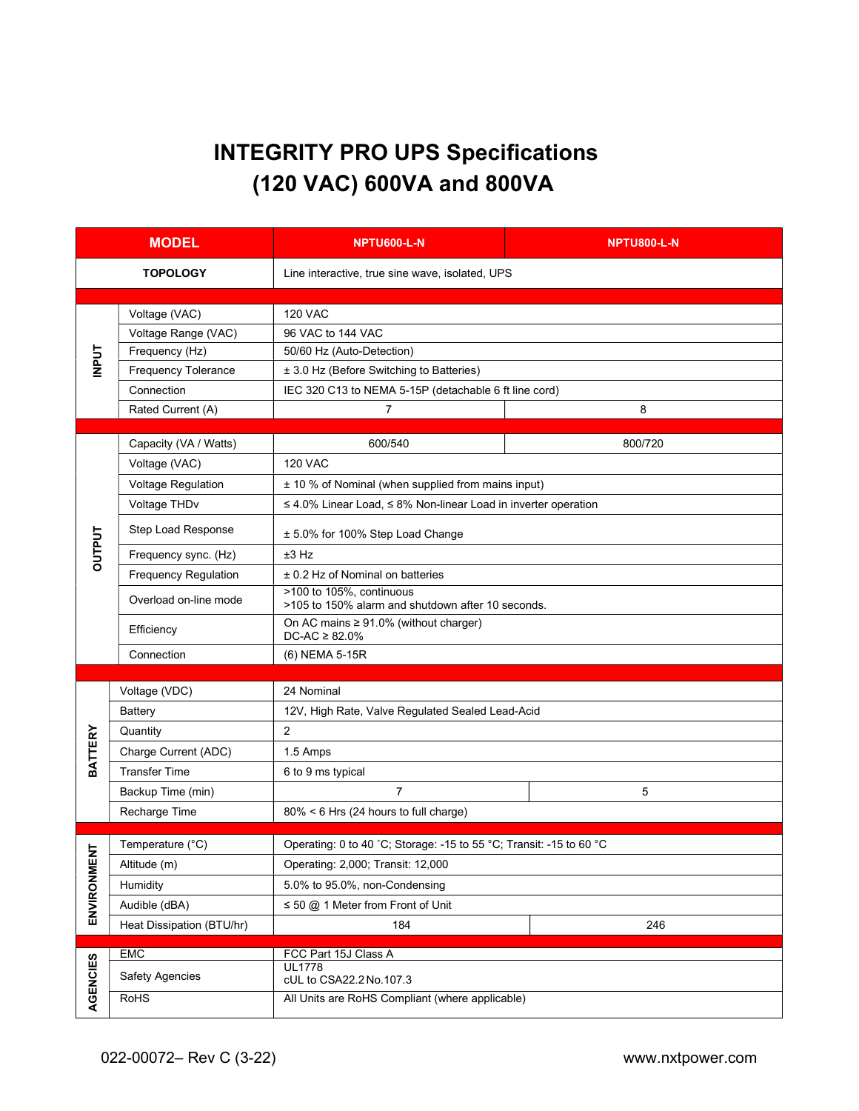## INTEGRITY PRO UPS Specifications (120 VAC) 600VA and 800VA

| <b>MODEL</b>    |                             | <b>NPTU600-L-N</b>                                                            | <b>NPTU800-L-N</b> |  |  |  |
|-----------------|-----------------------------|-------------------------------------------------------------------------------|--------------------|--|--|--|
| <b>TOPOLOGY</b> |                             | Line interactive, true sine wave, isolated, UPS                               |                    |  |  |  |
|                 |                             |                                                                               |                    |  |  |  |
| <b>INPUT</b>    | Voltage (VAC)               | <b>120 VAC</b>                                                                |                    |  |  |  |
|                 | Voltage Range (VAC)         | 96 VAC to 144 VAC                                                             |                    |  |  |  |
|                 | Frequency (Hz)              | 50/60 Hz (Auto-Detection)                                                     |                    |  |  |  |
|                 | Frequency Tolerance         | ± 3.0 Hz (Before Switching to Batteries)                                      |                    |  |  |  |
|                 | Connection                  | IEC 320 C13 to NEMA 5-15P (detachable 6 ft line cord)                         |                    |  |  |  |
|                 | Rated Current (A)           | $\overline{7}$                                                                | 8                  |  |  |  |
| <b>DUTPUT</b>   | Capacity (VA / Watts)       | 600/540                                                                       | 800/720            |  |  |  |
|                 | Voltage (VAC)               | <b>120 VAC</b>                                                                |                    |  |  |  |
|                 | <b>Voltage Regulation</b>   | ± 10 % of Nominal (when supplied from mains input)                            |                    |  |  |  |
|                 | Voltage THDv                | $\leq$ 4.0% Linear Load, $\leq$ 8% Non-linear Load in inverter operation      |                    |  |  |  |
|                 | Step Load Response          | ± 5.0% for 100% Step Load Change                                              |                    |  |  |  |
|                 | Frequency sync. (Hz)        | $±3$ Hz                                                                       |                    |  |  |  |
|                 | <b>Frequency Regulation</b> | ± 0.2 Hz of Nominal on batteries                                              |                    |  |  |  |
|                 | Overload on-line mode       | >100 to 105%, continuous<br>>105 to 150% alarm and shutdown after 10 seconds. |                    |  |  |  |
|                 | Efficiency                  | On AC mains $\geq 91.0\%$ (without charger)<br>$DC-AC \geq 82.0\%$            |                    |  |  |  |
|                 | Connection                  | (6) NEMA 5-15R                                                                |                    |  |  |  |
|                 |                             |                                                                               |                    |  |  |  |
|                 | Voltage (VDC)               | 24 Nominal                                                                    |                    |  |  |  |
|                 | Battery                     | 12V, High Rate, Valve Regulated Sealed Lead-Acid                              |                    |  |  |  |
| <b>BATTERY</b>  | Quantity                    | $\overline{2}$                                                                |                    |  |  |  |
|                 | Charge Current (ADC)        | 1.5 Amps                                                                      |                    |  |  |  |
|                 | <b>Transfer Time</b>        | 6 to 9 ms typical                                                             |                    |  |  |  |
|                 | Backup Time (min)           | $\overline{7}$                                                                | 5                  |  |  |  |
|                 | Recharge Time               | 80% < 6 Hrs (24 hours to full charge)                                         |                    |  |  |  |
|                 | Temperature (°C)            | Operating: 0 to 40 °C; Storage: -15 to 55 °C; Transit: -15 to 60 °C           |                    |  |  |  |
| ヒ               | Altitude (m)                | Operating: 2,000; Transit: 12,000                                             |                    |  |  |  |
|                 | Humidity                    | 5.0% to 95.0%, non-Condensing                                                 |                    |  |  |  |
| ENVIRONMEI      | Audible (dBA)               | $\leq$ 50 @ 1 Meter from Front of Unit                                        |                    |  |  |  |
|                 | Heat Dissipation (BTU/hr)   | 184                                                                           | 246                |  |  |  |
|                 |                             |                                                                               |                    |  |  |  |
|                 | <b>EMC</b>                  | FCC Part 15J Class A<br><b>UL1778</b>                                         |                    |  |  |  |
|                 | <b>Safety Agencies</b>      | cUL to CSA22.2 No.107.3                                                       |                    |  |  |  |
| AGENCIES        | <b>RoHS</b>                 | All Units are RoHS Compliant (where applicable)                               |                    |  |  |  |